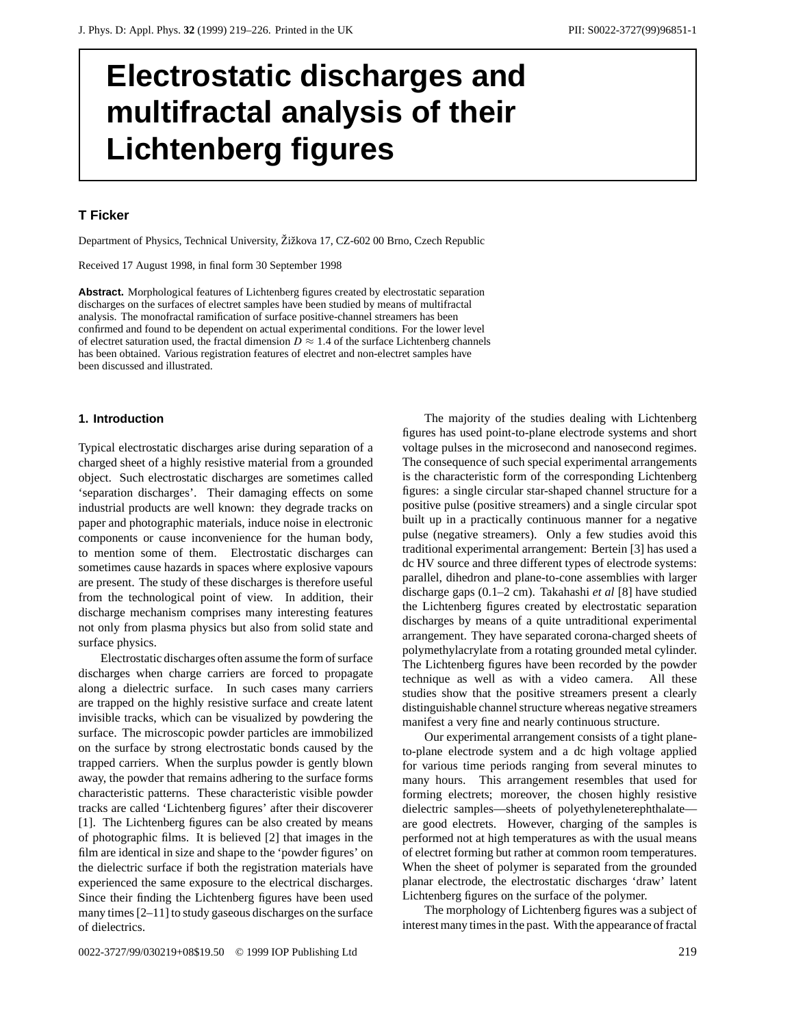# **Electrostatic discharges and multifractal analysis of their Lichtenberg figures**

# **T Ficker**

Department of Physics, Technical University, Žižkova 17, CZ-602 00 Brno, Czech Republic

Received 17 August 1998, in final form 30 September 1998

**Abstract.** Morphological features of Lichtenberg figures created by electrostatic separation discharges on the surfaces of electret samples have been studied by means of multifractal analysis. The monofractal ramification of surface positive-channel streamers has been confirmed and found to be dependent on actual experimental conditions. For the lower level of electret saturation used, the fractal dimension  $D \approx 1.4$  of the surface Lichtenberg channels has been obtained. Various registration features of electret and non-electret samples have been discussed and illustrated.

## **1. Introduction**

Typical electrostatic discharges arise during separation of a charged sheet of a highly resistive material from a grounded object. Such electrostatic discharges are sometimes called 'separation discharges'. Their damaging effects on some industrial products are well known: they degrade tracks on paper and photographic materials, induce noise in electronic components or cause inconvenience for the human body, to mention some of them. Electrostatic discharges can sometimes cause hazards in spaces where explosive vapours are present. The study of these discharges is therefore useful from the technological point of view. In addition, their discharge mechanism comprises many interesting features not only from plasma physics but also from solid state and surface physics.

Electrostatic discharges often assume the form of surface discharges when charge carriers are forced to propagate along a dielectric surface. In such cases many carriers are trapped on the highly resistive surface and create latent invisible tracks, which can be visualized by powdering the surface. The microscopic powder particles are immobilized on the surface by strong electrostatic bonds caused by the trapped carriers. When the surplus powder is gently blown away, the powder that remains adhering to the surface forms characteristic patterns. These characteristic visible powder tracks are called 'Lichtenberg figures' after their discoverer [1]. The Lichtenberg figures can be also created by means of photographic films. It is believed [2] that images in the film are identical in size and shape to the 'powder figures' on the dielectric surface if both the registration materials have experienced the same exposure to the electrical discharges. Since their finding the Lichtenberg figures have been used many times [2–11] to study gaseous discharges on the surface of dielectrics.

The majority of the studies dealing with Lichtenberg figures has used point-to-plane electrode systems and short voltage pulses in the microsecond and nanosecond regimes. The consequence of such special experimental arrangements is the characteristic form of the corresponding Lichtenberg figures: a single circular star-shaped channel structure for a positive pulse (positive streamers) and a single circular spot built up in a practically continuous manner for a negative pulse (negative streamers). Only a few studies avoid this traditional experimental arrangement: Bertein [3] has used a dc HV source and three different types of electrode systems: parallel, dihedron and plane-to-cone assemblies with larger discharge gaps (0.1–2 cm). Takahashi *et al* [8] have studied the Lichtenberg figures created by electrostatic separation discharges by means of a quite untraditional experimental arrangement. They have separated corona-charged sheets of polymethylacrylate from a rotating grounded metal cylinder. The Lichtenberg figures have been recorded by the powder technique as well as with a video camera. All these studies show that the positive streamers present a clearly distinguishable channel structure whereas negative streamers manifest a very fine and nearly continuous structure.

Our experimental arrangement consists of a tight planeto-plane electrode system and a dc high voltage applied for various time periods ranging from several minutes to many hours. This arrangement resembles that used for forming electrets; moreover, the chosen highly resistive dielectric samples—sheets of polyethyleneterephthalate are good electrets. However, charging of the samples is performed not at high temperatures as with the usual means of electret forming but rather at common room temperatures. When the sheet of polymer is separated from the grounded planar electrode, the electrostatic discharges 'draw' latent Lichtenberg figures on the surface of the polymer.

The morphology of Lichtenberg figures was a subject of interest many times in the past. With the appearance of fractal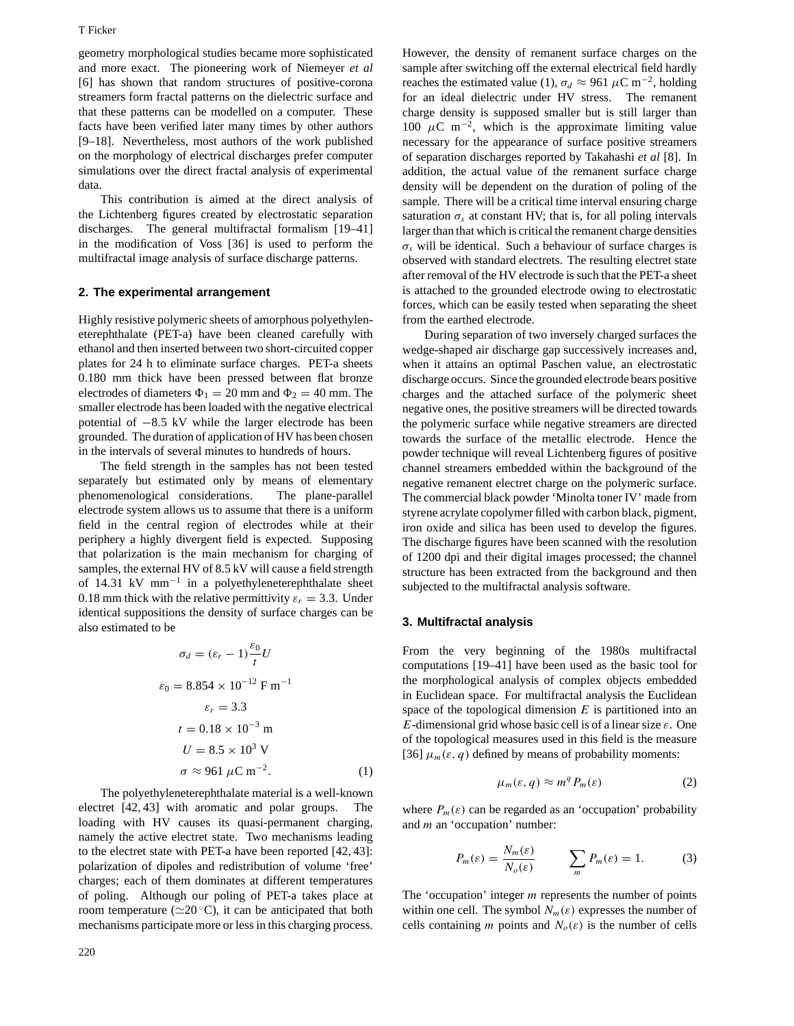geometry morphological studies became more sophisticated and more exact. The pioneering work of Niemeyer *et al* [6] has shown that random structures of positive-corona streamers form fractal patterns on the dielectric surface and that these patterns can be modelled on a computer. These facts have been verified later many times by other authors [9–18]. Nevertheless, most authors of the work published on the morphology of electrical discharges prefer computer simulations over the direct fractal analysis of experimental data.

This contribution is aimed at the direct analysis of the Lichtenberg figures created by electrostatic separation discharges. The general multifractal formalism [19–41] in the modification of Voss [36] is used to perform the multifractal image analysis of surface discharge patterns.

## **2. The experimental arrangement**

Highly resistive polymeric sheets of amorphous polyethyleneterephthalate (PET-a) have been cleaned carefully with ethanol and then inserted between two short-circuited copper plates for 24 h to eliminate surface charges. PET-a sheets 0.180 mm thick have been pressed between flat bronze electrodes of diameters  $\Phi_1 = 20$  mm and  $\Phi_2 = 40$  mm. The smaller electrode has been loaded with the negative electrical potential of −8*.*5 kV while the larger electrode has been grounded. The duration of application of HV has been chosen in the intervals of several minutes to hundreds of hours.

The field strength in the samples has not been tested separately but estimated only by means of elementary phenomenological considerations. The plane-parallel electrode system allows us to assume that there is a uniform field in the central region of electrodes while at their periphery a highly divergent field is expected. Supposing that polarization is the main mechanism for charging of samples, the external HV of 8.5 kV will cause a field strength of 14*.*31 kV mm−<sup>1</sup> in a polyethyleneterephthalate sheet 0.18 mm thick with the relative permittivity  $\varepsilon_r = 3.3$ . Under identical suppositions the density of surface charges can be also estimated to be

$$
\sigma_d = (\varepsilon_r - 1) \frac{\varepsilon_0}{t} U
$$
  
\n
$$
\varepsilon_0 = 8.854 \times 10^{-12} \text{ F m}^{-1}
$$
  
\n
$$
\varepsilon_r = 3.3
$$
  
\n
$$
t = 0.18 \times 10^{-3} \text{ m}
$$
  
\n
$$
U = 8.5 \times 10^3 \text{ V}
$$
  
\n
$$
\sigma \approx 961 \mu \text{ C m}^{-2}.
$$
 (1)

The polyethyleneterephthalate material is a well-known electret [42, 43] with aromatic and polar groups. The loading with HV causes its quasi-permanent charging, namely the active electret state. Two mechanisms leading to the electret state with PET-a have been reported [42, 43]: polarization of dipoles and redistribution of volume 'free' charges; each of them dominates at different temperatures of poling. Although our poling of PET-a takes place at room temperature ( $\simeq$ 20 °C), it can be anticipated that both mechanisms participate more or less in this charging process.

However, the density of remanent surface charges on the sample after switching off the external electrical field hardly reaches the estimated value (1),  $\sigma_d \approx 961 \mu C \text{ m}^{-2}$ , holding for an ideal dielectric under HV stress. The remanent charge density is supposed smaller but is still larger than 100  $\mu$ C m<sup>-2</sup>, which is the approximate limiting value necessary for the appearance of surface positive streamers of separation discharges reported by Takahashi *et al* [8]. In addition, the actual value of the remanent surface charge density will be dependent on the duration of poling of the sample. There will be a critical time interval ensuring charge saturation  $\sigma_s$  at constant HV; that is, for all poling intervals larger than that which is critical the remanent charge densities *σs* will be identical. Such a behaviour of surface charges is observed with standard electrets. The resulting electret state after removal of the HV electrode is such that the PET-a sheet is attached to the grounded electrode owing to electrostatic forces, which can be easily tested when separating the sheet from the earthed electrode.

During separation of two inversely charged surfaces the wedge-shaped air discharge gap successively increases and, when it attains an optimal Paschen value, an electrostatic discharge occurs. Since the grounded electrode bears positive charges and the attached surface of the polymeric sheet negative ones, the positive streamers will be directed towards the polymeric surface while negative streamers are directed towards the surface of the metallic electrode. Hence the powder technique will reveal Lichtenberg figures of positive channel streamers embedded within the background of the negative remanent electret charge on the polymeric surface. The commercial black powder 'Minolta toner IV' made from styrene acrylate copolymer filled with carbon black, pigment, iron oxide and silica has been used to develop the figures. The discharge figures have been scanned with the resolution of 1200 dpi and their digital images processed; the channel structure has been extracted from the background and then subjected to the multifractal analysis software.

## **3. Multifractal analysis**

From the very beginning of the 1980s multifractal computations [19–41] have been used as the basic tool for the morphological analysis of complex objects embedded in Euclidean space. For multifractal analysis the Euclidean space of the topological dimension *E* is partitioned into an *E*-dimensional grid whose basic cell is of a linear size *ε*. One of the topological measures used in this field is the measure [36]  $\mu_m(\varepsilon, q)$  defined by means of probability moments:

$$
\mu_m(\varepsilon, q) \approx m^q P_m(\varepsilon) \tag{2}
$$

where  $P_m(\varepsilon)$  can be regarded as an 'occupation' probability and *m* an 'occupation' number:

$$
P_m(\varepsilon) = \frac{N_m(\varepsilon)}{N_o(\varepsilon)} \qquad \sum_m P_m(\varepsilon) = 1. \tag{3}
$$

The 'occupation' integer *m* represents the number of points within one cell. The symbol  $N_m(\varepsilon)$  expresses the number of cells containing *m* points and  $N<sub>o</sub>(\varepsilon)$  is the number of cells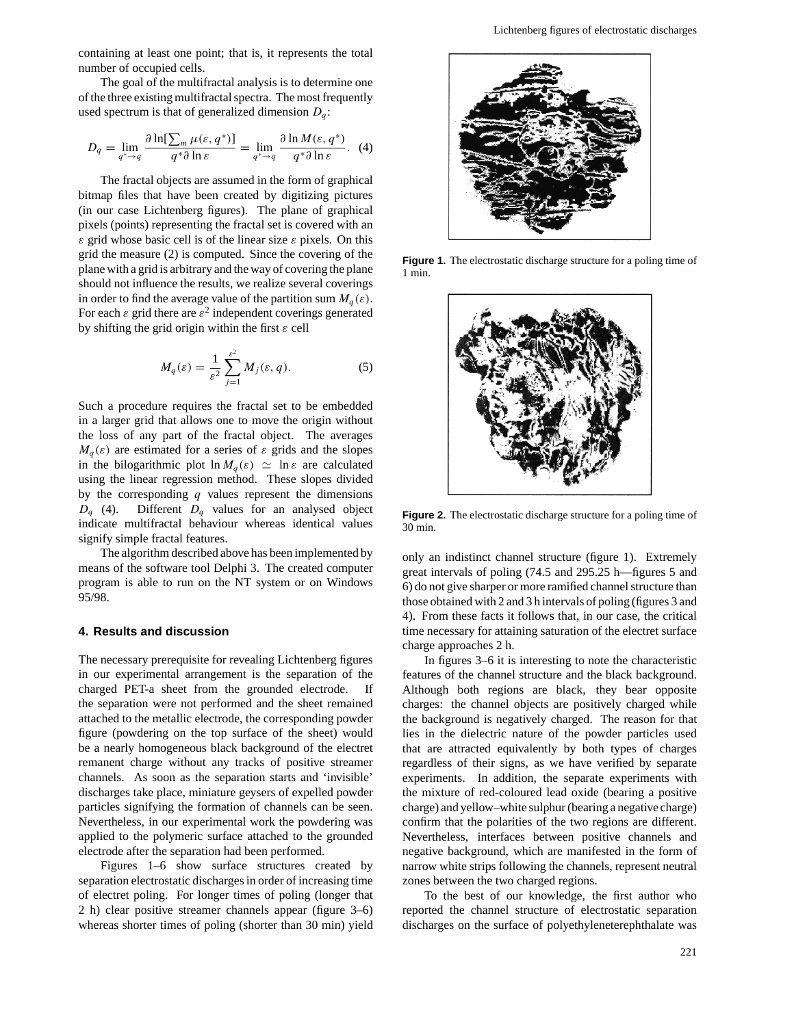containing at least one point; that is, it represents the total number of occupied cells.

The goal of the multifractal analysis is to determine one of the three existing multifractal spectra. The most frequently used spectrum is that of generalized dimension  $D_q$ :

$$
D_q = \lim_{q^* \to q} \frac{\partial \ln[\sum_m \mu(\varepsilon, q^*)]}{q^* \partial \ln \varepsilon} = \lim_{q^* \to q} \frac{\partial \ln M(\varepsilon, q^*)}{q^* \partial \ln \varepsilon}.
$$
 (4)

The fractal objects are assumed in the form of graphical bitmap files that have been created by digitizing pictures (in our case Lichtenberg figures). The plane of graphical pixels (points) representing the fractal set is covered with an *ε* grid whose basic cell is of the linear size *ε* pixels. On this grid the measure (2) is computed. Since the covering of the plane with a grid is arbitrary and the way of covering the plane should not influence the results, we realize several coverings in order to find the average value of the partition sum  $M_q(\varepsilon)$ . For each  $\varepsilon$  grid there are  $\varepsilon^2$  independent coverings generated by shifting the grid origin within the first *ε* cell

$$
M_q(\varepsilon) = \frac{1}{\varepsilon^2} \sum_{j=1}^{\varepsilon^2} M_j(\varepsilon, q). \tag{5}
$$

Such a procedure requires the fractal set to be embedded in a larger grid that allows one to move the origin without the loss of any part of the fractal object. The averages  $M_q(\varepsilon)$  are estimated for a series of  $\varepsilon$  grids and the slopes in the bilogarithmic plot  $\ln M_a(\varepsilon) \simeq \ln \varepsilon$  are calculated using the linear regression method. These slopes divided by the corresponding *q* values represent the dimensions  $D_q$  (4). Different  $D_q$  values for an analysed object indicate multifractal behaviour whereas identical values signify simple fractal features.

The algorithm described above has been implemented by means of the software tool Delphi 3. The created computer program is able to run on the NT system or on Windows 95/98.

### **4. Results and discussion**

The necessary prerequisite for revealing Lichtenberg figures in our experimental arrangement is the separation of the charged PET-a sheet from the grounded electrode. If the separation were not performed and the sheet remained attached to the metallic electrode, the corresponding powder figure (powdering on the top surface of the sheet) would be a nearly homogeneous black background of the electret remanent charge without any tracks of positive streamer channels. As soon as the separation starts and 'invisible' discharges take place, miniature geysers of expelled powder particles signifying the formation of channels can be seen. Nevertheless, in our experimental work the powdering was applied to the polymeric surface attached to the grounded electrode after the separation had been performed.

Figures 1–6 show surface structures created by separation electrostatic discharges in order of increasing time of electret poling. For longer times of poling (longer that 2 h) clear positive streamer channels appear (figure 3–6) whereas shorter times of poling (shorter than 30 min) yield



**Figure 1.** The electrostatic discharge structure for a poling time of 1 min.



**Figure 2.** The electrostatic discharge structure for a poling time of 30 min.

only an indistinct channel structure (figure 1). Extremely great intervals of poling (74.5 and 295.25 h—figures 5 and 6) do not give sharper or more ramified channel structure than those obtained with 2 and 3 h intervals of poling (figures 3 and 4). From these facts it follows that, in our case, the critical time necessary for attaining saturation of the electret surface charge approaches 2 h.

In figures 3–6 it is interesting to note the characteristic features of the channel structure and the black background. Although both regions are black, they bear opposite charges: the channel objects are positively charged while the background is negatively charged. The reason for that lies in the dielectric nature of the powder particles used that are attracted equivalently by both types of charges regardless of their signs, as we have verified by separate experiments. In addition, the separate experiments with the mixture of red-coloured lead oxide (bearing a positive charge) and yellow–white sulphur (bearing a negative charge) confirm that the polarities of the two regions are different. Nevertheless, interfaces between positive channels and negative background, which are manifested in the form of narrow white strips following the channels, represent neutral zones between the two charged regions.

To the best of our knowledge, the first author who reported the channel structure of electrostatic separation discharges on the surface of polyethyleneterephthalate was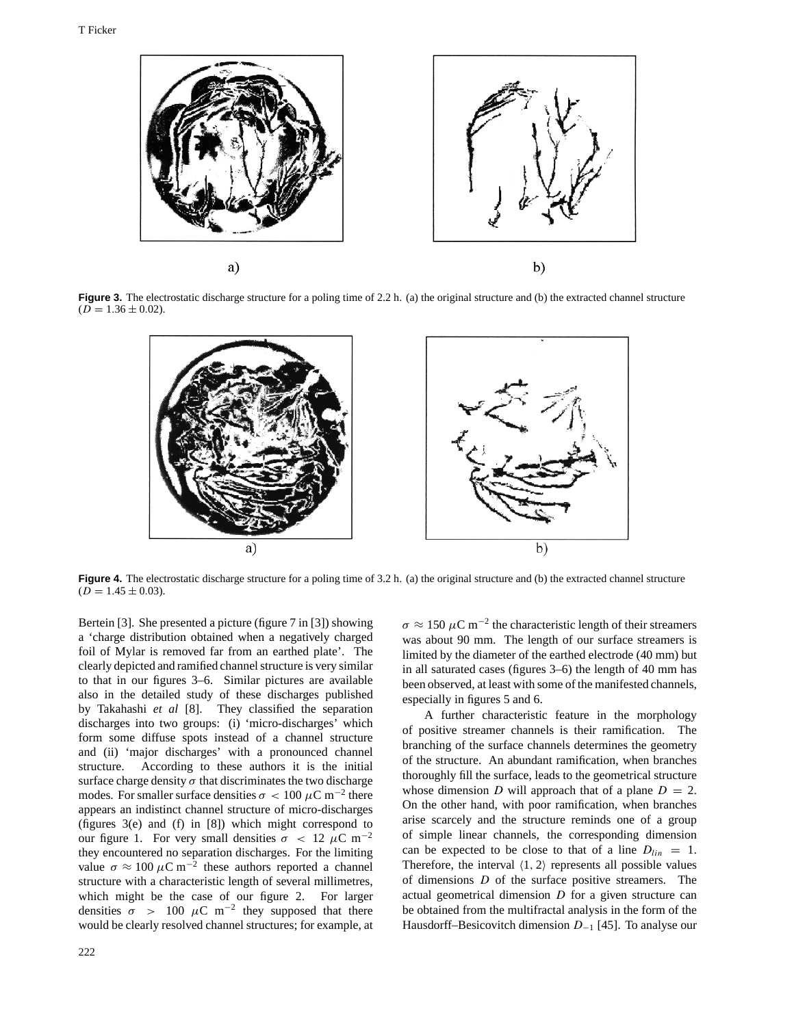

**Figure 3.** The electrostatic discharge structure for a poling time of 2.2 h. (a) the original structure and (b) the extracted channel structure  $(D = 1.36 \pm 0.02)$ .



**Figure 4.** The electrostatic discharge structure for a poling time of 3.2 h. (a) the original structure and (b) the extracted channel structure  $(D = 1.45 \pm 0.03)$ .

Bertein [3]. She presented a picture (figure 7 in [3]) showing a 'charge distribution obtained when a negatively charged foil of Mylar is removed far from an earthed plate'. The clearly depicted and ramified channel structure is very similar to that in our figures 3–6. Similar pictures are available also in the detailed study of these discharges published by Takahashi *et al* [8]. They classified the separation discharges into two groups: (i) 'micro-discharges' which form some diffuse spots instead of a channel structure and (ii) 'major discharges' with a pronounced channel structure. According to these authors it is the initial surface charge density  $\sigma$  that discriminates the two discharge modes. For smaller surface densities  $\sigma$  < 100  $\mu$ C m<sup>-2</sup> there appears an indistinct channel structure of micro-discharges (figures 3(e) and (f) in [8]) which might correspond to our figure 1. For very small densities  $\sigma$  < 12  $\mu$ C m<sup>-2</sup> they encountered no separation discharges. For the limiting value  $\sigma \approx 100 \mu C \text{ m}^{-2}$  these authors reported a channel structure with a characteristic length of several millimetres, which might be the case of our figure 2. For larger densities  $\sigma$  > 100  $\mu$ C m<sup>-2</sup> they supposed that there would be clearly resolved channel structures; for example, at

 $\sigma \approx 150 \,\mu\text{C m}^{-2}$  the characteristic length of their streamers was about 90 mm. The length of our surface streamers is limited by the diameter of the earthed electrode (40 mm) but in all saturated cases (figures 3–6) the length of 40 mm has been observed, at least with some of the manifested channels, especially in figures 5 and 6.

A further characteristic feature in the morphology of positive streamer channels is their ramification. The branching of the surface channels determines the geometry of the structure. An abundant ramification, when branches thoroughly fill the surface, leads to the geometrical structure whose dimension *D* will approach that of a plane  $D = 2$ . On the other hand, with poor ramification, when branches arise scarcely and the structure reminds one of a group of simple linear channels, the corresponding dimension can be expected to be close to that of a line  $D_{lin} = 1$ . Therefore, the interval  $\langle 1, 2 \rangle$  represents all possible values of dimensions *D* of the surface positive streamers. The actual geometrical dimension *D* for a given structure can be obtained from the multifractal analysis in the form of the Hausdorff–Besicovitch dimension *D*−<sup>1</sup> [45]. To analyse our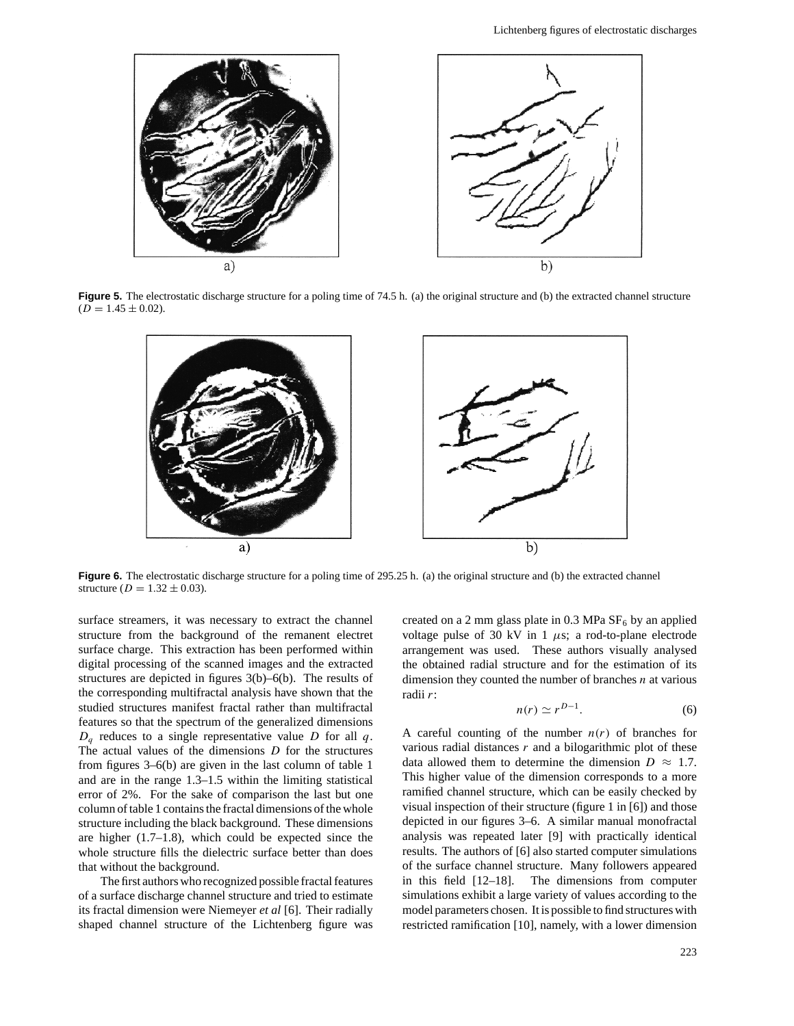

Figure 5. The electrostatic discharge structure for a poling time of 74.5 h. (a) the original structure and (b) the extracted channel structure  $(D = 1.45 \pm 0.02)$ .



**Figure 6.** The electrostatic discharge structure for a poling time of 295.25 h. (a) the original structure and (b) the extracted channel structure ( $D = 1.32 \pm 0.03$ ).

surface streamers, it was necessary to extract the channel structure from the background of the remanent electret surface charge. This extraction has been performed within digital processing of the scanned images and the extracted structures are depicted in figures 3(b)–6(b). The results of the corresponding multifractal analysis have shown that the studied structures manifest fractal rather than multifractal features so that the spectrum of the generalized dimensions  $D_q$  reduces to a single representative value *D* for all *q*. The actual values of the dimensions *D* for the structures from figures 3–6(b) are given in the last column of table 1 and are in the range 1.3–1.5 within the limiting statistical error of 2%. For the sake of comparison the last but one column of table 1 contains the fractal dimensions of the whole structure including the black background. These dimensions are higher (1.7–1.8), which could be expected since the whole structure fills the dielectric surface better than does that without the background.

The first authors who recognized possible fractal features of a surface discharge channel structure and tried to estimate its fractal dimension were Niemeyer *et al* [6]. Their radially shaped channel structure of the Lichtenberg figure was created on a 2 mm glass plate in  $0.3$  MPa  $SF<sub>6</sub>$  by an applied voltage pulse of 30 kV in 1 *µ*s; a rod-to-plane electrode arrangement was used. These authors visually analysed the obtained radial structure and for the estimation of its dimension they counted the number of branches *n* at various radii *r*:

$$
n(r) \simeq r^{D-1}.\tag{6}
$$

A careful counting of the number  $n(r)$  of branches for various radial distances *r* and a bilogarithmic plot of these data allowed them to determine the dimension  $D \approx 1.7$ . This higher value of the dimension corresponds to a more ramified channel structure, which can be easily checked by visual inspection of their structure (figure 1 in [6]) and those depicted in our figures 3–6. A similar manual monofractal analysis was repeated later [9] with practically identical results. The authors of [6] also started computer simulations of the surface channel structure. Many followers appeared in this field [12–18]. The dimensions from computer simulations exhibit a large variety of values according to the model parameters chosen. It is possible to find structures with restricted ramification [10], namely, with a lower dimension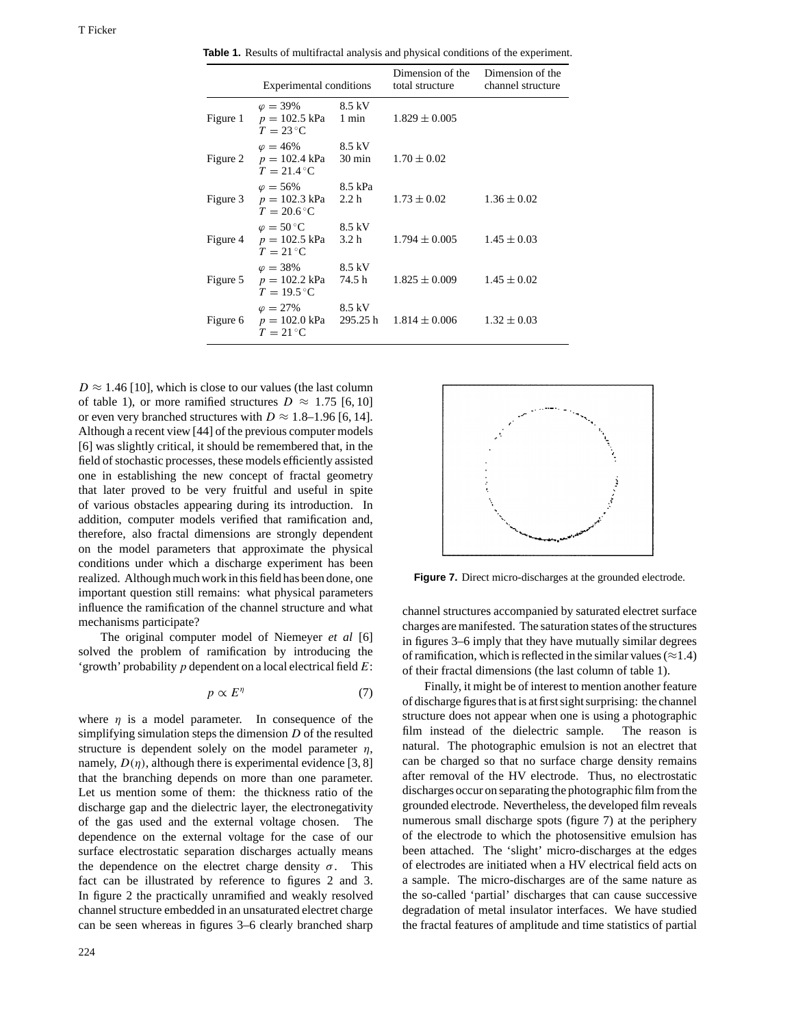**Table 1.** Results of multifractal analysis and physical conditions of the experiment.

|          | Experimental conditions                                             |                           | Dimension of the<br>total structure                         | Dimension of the<br>channel structure |
|----------|---------------------------------------------------------------------|---------------------------|-------------------------------------------------------------|---------------------------------------|
| Figure 1 | $\varphi = 39\%$<br>$p = 102.5$ kPa<br>$T = 23$ °C                  | 8.5 kV<br>$1 \text{ min}$ | $1.829 \pm 0.005$                                           |                                       |
| Figure 2 | $\varphi = 46\%$<br>$p = 102.4$ kPa 30 min<br>$T = 21.4$ °C         | 8.5 kV                    | $1.70 \pm 0.02$                                             |                                       |
|          | $\varphi = 56\%$<br>Figure 3 $p = 102.3$ kPa 2.2 h<br>$T = 20.6$ °C | 8.5 kPa                   | $1.73 \pm 0.02$                                             | $1.36 \pm 0.02$                       |
| Figure 4 | $\varphi = 50^{\circ}C$<br>$p = 102.5$ kPa 3.2 h<br>$T = 21$ °C     | 8.5 kV                    | $1.794 \pm 0.005$                                           | $1.45 \pm 0.03$                       |
| Figure 5 | $\varphi = 38\%$<br>$p = 102.2$ kPa<br>$T = 19.5$ °C                | 8.5 kV<br>74.5 h          | $1.825 \pm 0.009$                                           | $1.45 \pm 0.02$                       |
|          | $\varphi = 27\%$<br>$T = 21$ °C                                     | 8.5 kV                    | Figure 6 $p = 102.0 \text{ kPa}$ 295.25 h $1.814 \pm 0.006$ | $1.32 \pm 0.03$                       |

 $D \approx 1.46$  [10], which is close to our values (the last column of table 1), or more ramified structures  $D \approx 1.75$  [6, 10] or even very branched structures with  $D \approx 1.8$ –1.96 [6, 14]. Although a recent view [44] of the previous computer models [6] was slightly critical, it should be remembered that, in the field of stochastic processes, these models efficiently assisted one in establishing the new concept of fractal geometry that later proved to be very fruitful and useful in spite of various obstacles appearing during its introduction. In addition, computer models verified that ramification and, therefore, also fractal dimensions are strongly dependent on the model parameters that approximate the physical conditions under which a discharge experiment has been realized. Although much work in this field has been done, one important question still remains: what physical parameters influence the ramification of the channel structure and what mechanisms participate?

The original computer model of Niemeyer *et al* [6] solved the problem of ramification by introducing the 'growth' probability *p* dependent on a local electrical field *E*:

$$
p \propto E^{\eta} \tag{7}
$$

where  $\eta$  is a model parameter. In consequence of the simplifying simulation steps the dimension *D* of the resulted structure is dependent solely on the model parameter *η*, namely,  $D(\eta)$ , although there is experimental evidence [3, 8] that the branching depends on more than one parameter. Let us mention some of them: the thickness ratio of the discharge gap and the dielectric layer, the electronegativity of the gas used and the external voltage chosen. The dependence on the external voltage for the case of our surface electrostatic separation discharges actually means the dependence on the electret charge density  $\sigma$ . This fact can be illustrated by reference to figures 2 and 3. In figure 2 the practically unramified and weakly resolved channel structure embedded in an unsaturated electret charge can be seen whereas in figures 3–6 clearly branched sharp



**Figure 7.** Direct micro-discharges at the grounded electrode.

channel structures accompanied by saturated electret surface charges are manifested. The saturation states of the structures in figures 3–6 imply that they have mutually similar degrees of ramification, which is reflected in the similar values  $(\approx 1.4)$ of their fractal dimensions (the last column of table 1).

Finally, it might be of interest to mention another feature of discharge figures that is at first sight surprising: the channel structure does not appear when one is using a photographic film instead of the dielectric sample. The reason is natural. The photographic emulsion is not an electret that can be charged so that no surface charge density remains after removal of the HV electrode. Thus, no electrostatic discharges occur on separating the photographic film from the grounded electrode. Nevertheless, the developed film reveals numerous small discharge spots (figure 7) at the periphery of the electrode to which the photosensitive emulsion has been attached. The 'slight' micro-discharges at the edges of electrodes are initiated when a HV electrical field acts on a sample. The micro-discharges are of the same nature as the so-called 'partial' discharges that can cause successive degradation of metal insulator interfaces. We have studied the fractal features of amplitude and time statistics of partial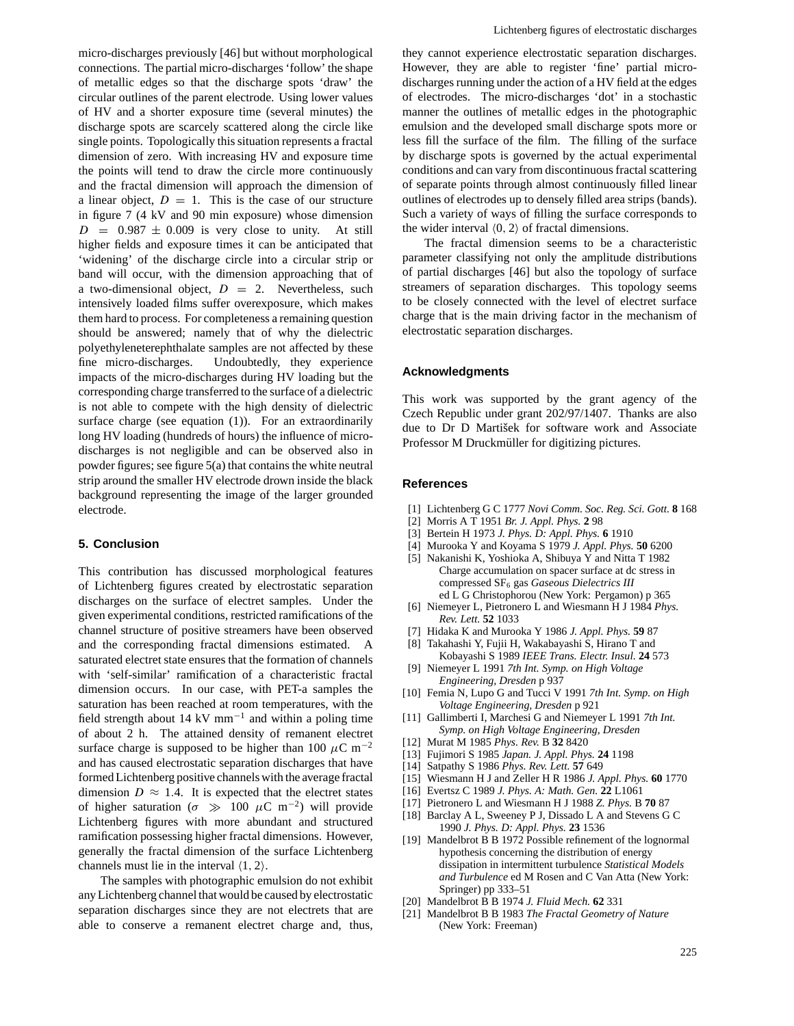micro-discharges previously [46] but without morphological connections. The partial micro-discharges 'follow' the shape of metallic edges so that the discharge spots 'draw' the circular outlines of the parent electrode. Using lower values of HV and a shorter exposure time (several minutes) the discharge spots are scarcely scattered along the circle like single points. Topologically this situation represents a fractal dimension of zero. With increasing HV and exposure time the points will tend to draw the circle more continuously and the fractal dimension will approach the dimension of a linear object,  $D = 1$ . This is the case of our structure in figure 7 (4 kV and 90 min exposure) whose dimension  $D = 0.987 \pm 0.009$  is very close to unity. At still higher fields and exposure times it can be anticipated that 'widening' of the discharge circle into a circular strip or band will occur, with the dimension approaching that of a two-dimensional object,  $D = 2$ . Nevertheless, such intensively loaded films suffer overexposure, which makes them hard to process. For completeness a remaining question should be answered; namely that of why the dielectric polyethyleneterephthalate samples are not affected by these fine micro-discharges. Undoubtedly, they experience impacts of the micro-discharges during HV loading but the corresponding charge transferred to the surface of a dielectric is not able to compete with the high density of dielectric surface charge (see equation (1)). For an extraordinarily long HV loading (hundreds of hours) the influence of microdischarges is not negligible and can be observed also in powder figures; see figure 5(a) that contains the white neutral strip around the smaller HV electrode drown inside the black background representing the image of the larger grounded electrode.

#### **5. Conclusion**

This contribution has discussed morphological features of Lichtenberg figures created by electrostatic separation discharges on the surface of electret samples. Under the given experimental conditions, restricted ramifications of the channel structure of positive streamers have been observed and the corresponding fractal dimensions estimated. A saturated electret state ensures that the formation of channels with 'self-similar' ramification of a characteristic fractal dimension occurs. In our case, with PET-a samples the saturation has been reached at room temperatures, with the field strength about 14 kV mm<sup>-1</sup> and within a poling time of about 2 h. The attained density of remanent electret surface charge is supposed to be higher than 100  $\mu$ C m<sup>-2</sup> and has caused electrostatic separation discharges that have formed Lichtenberg positive channels with the average fractal dimension  $D \approx 1.4$ . It is expected that the electret states of higher saturation ( $\sigma \gg 100 \ \mu C \ m^{-2}$ ) will provide Lichtenberg figures with more abundant and structured ramification possessing higher fractal dimensions. However, generally the fractal dimension of the surface Lichtenberg channels must lie in the interval  $\langle 1, 2 \rangle$ .

The samples with photographic emulsion do not exhibit any Lichtenberg channel that would be caused by electrostatic separation discharges since they are not electrets that are able to conserve a remanent electret charge and, thus,

they cannot experience electrostatic separation discharges. However, they are able to register 'fine' partial microdischarges running under the action of a HV field at the edges of electrodes. The micro-discharges 'dot' in a stochastic manner the outlines of metallic edges in the photographic emulsion and the developed small discharge spots more or less fill the surface of the film. The filling of the surface by discharge spots is governed by the actual experimental conditions and can vary from discontinuous fractal scattering of separate points through almost continuously filled linear outlines of electrodes up to densely filled area strips (bands). Such a variety of ways of filling the surface corresponds to the wider interval  $(0, 2)$  of fractal dimensions.

The fractal dimension seems to be a characteristic parameter classifying not only the amplitude distributions of partial discharges [46] but also the topology of surface streamers of separation discharges. This topology seems to be closely connected with the level of electret surface charge that is the main driving factor in the mechanism of electrostatic separation discharges.

#### **Acknowledgments**

This work was supported by the grant agency of the Czech Republic under grant 202/97/1407. Thanks are also due to Dr D Martišek for software work and Associate Professor M Druckmüller for digitizing pictures.

## **References**

- [1] Lichtenberg G C 1777 *Novi Comm. Soc. Reg. Sci. Gott.* **8** 168
- [2] Morris A T 1951 *Br. J. Appl. Phys.* **2** 98
- [3] Bertein H 1973 *J. Phys. D: Appl. Phys.* **6** 1910
- [4] Murooka Y and Koyama S 1979 *J. Appl. Phys.* **50** 6200
- [5] Nakanishi K, Yoshioka A, Shibuya Y and Nitta T 1982 Charge accumulation on spacer surface at dc stress in compressed SF6 gas *Gaseous Dielectrics III* ed L G Christophorou (New York: Pergamon) p 365
- [6] Niemeyer L, Pietronero L and Wiesmann H J 1984 *Phys. Rev. Lett.* **52** 1033
- [7] Hidaka K and Murooka Y 1986 *J. Appl. Phys.* **59** 87
- [8] Takahashi Y, Fujii H, Wakabayashi S, Hirano T and Kobayashi S 1989 *IEEE Trans. Electr. Insul.* **24** 573
- [9] Niemeyer L 1991 *7th Int. Symp. on High Voltage Engineering, Dresden* p 937
- [10] Femia N, Lupo G and Tucci V 1991 *7th Int. Symp. on High Voltage Engineering, Dresden* p 921
- [11] Gallimberti I, Marchesi G and Niemeyer L 1991 *7th Int. Symp. on High Voltage Engineering, Dresden*
- [12] Murat M 1985 *Phys. Rev.* B **32** 8420
- [13] Fujimori S 1985 *Japan. J. Appl. Phys.* **24** 1198
- [14] Satpathy S 1986 *Phys. Rev. Lett.* **57** 649
- [15] Wiesmann H J and Zeller H R 1986 *J. Appl. Phys.* **60** 1770
- [16] Evertsz C 1989 *J. Phys. A: Math. Gen.* **22** L1061
- [17] Pietronero L and Wiesmann H J 1988 *Z. Phys.* B **70** 87
- [18] Barclay A L, Sweeney P J, Dissado L A and Stevens G C 1990 *J. Phys. D: Appl. Phys.* **23** 1536
- [19] Mandelbrot B B 1972 Possible refinement of the lognormal hypothesis concerning the distribution of energy dissipation in intermittent turbulence *Statistical Models and Turbulence* ed M Rosen and C Van Atta (New York: Springer) pp 333–51
- [20] Mandelbrot B B 1974 *J. Fluid Mech.* **62** 331
- [21] Mandelbrot B B 1983 *The Fractal Geometry of Nature* (New York: Freeman)